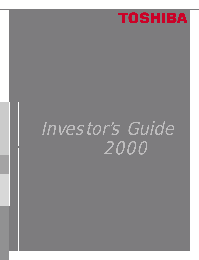

# Investor's Guide 2000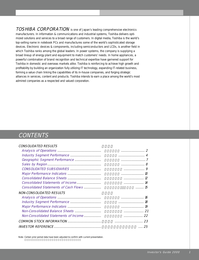TOSHIBA CORPORATION is one of Japan's leading comprehensive electronics manufacturers. In information & communications and industrial systems, Toshiba delivers optimized solutions and services to a broad range of customers. In digital media, Toshiba is the world's top-selling name in notebook PCs and manufactures some of the world's sophisticated storage devices. Electronic devices & components, including semiconductors and LCDs, is another field in which Toshiba ranks among the global leaders. In power systems, the company is supplying a broad lineup of energy plant and equipment to match customers' needs. In home appliances, a powerful combination of brand recognition and technical expertise have garnered support for Toshiba in domestic and overseas markets alike. Toshiba is reinforcing to achieve high growth and profitability by building an organization fully utilizing IT technology, expanding IT-related business, forming a value chain linking the capabilities of its in-house companies, and forging strategic alliances in services, content and products. Toshiba intends to earn a place among the world's most admired companies as a respected and valued corporation.

## **CONTENTS**

| <i>CONSOLIDATED RESULTS</i>           |                    |
|---------------------------------------|--------------------|
|                                       |                    |
|                                       |                    |
|                                       |                    |
|                                       |                    |
|                                       |                    |
|                                       |                    |
|                                       |                    |
|                                       |                    |
| Consolidated Statements of Cash Flows | $\ldots \ldots 15$ |
| <b>NON-CONSOLIDATED RESULTS</b>       |                    |
|                                       |                    |
|                                       | 18                 |
|                                       |                    |
|                                       |                    |
| Non-Consolidated Statements of Income |                    |
|                                       | 23                 |
|                                       | 25<br>1.1.1.1      |
|                                       |                    |

Note: Certain prior period data have been adjusted to confirm with current presentation.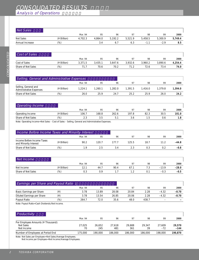Analysis of Operations

| Net Sales       |               |         |         |         |         |         |         |         |
|-----------------|---------------|---------|---------|---------|---------|---------|---------|---------|
|                 |               | Mar. 94 | 95      | 96      | 97      | 98      | 99      | 2000    |
| Net Sales       | (¥ Billion)   | 4.702.3 | 4,864.0 | 5,192.2 | 5,521.9 | 5.458.5 | 5,300.9 | 5,749.4 |
| Annual Increase | $\frac{1}{2}$ |         | 3.4     | 6.7     | 6.3     | $-1.1$  | $-2.9$  | 8.5     |
|                 |               |         |         |         |         |         |         |         |

| Cost of Sales      |             |         |         |         |         |         |         |         |
|--------------------|-------------|---------|---------|---------|---------|---------|---------|---------|
|                    |             | Mar. 94 | 95      | 96      | 97      | 98      | 99      | 2000    |
| Cost of Sales      | (¥ Billion) | 3.371.5 | 3.435.1 | 3.647.6 | 3.932.6 | 3.960.2 | 3.890.6 | 4.254.4 |
| Share of Net Sales | (96)        |         | 70.6    | 70.2    |         | 72.6    | 73.4    | 74.0    |

| Selling, General and Administrative Expenses           |             |         |         |         |         |         |        |         |
|--------------------------------------------------------|-------------|---------|---------|---------|---------|---------|--------|---------|
|                                                        |             | Mar. 94 | 95      | 96      | 97      | 98      | 99     | 2000    |
| Selling, General and<br><b>Administrative Expenses</b> | (¥ Billion) | 1.224.1 | 1.260.1 | 1.282.0 | 1.391.5 | 1.416.0 | 1.3798 | 1,394.0 |
| Share of Net Sales                                     | (%)         | 26.0    | 25.9    | 24.7    | 25.2    | 25.9    | 26.0   | 24.2    |

| <b>Operating Income</b> |             |         |       |        |       |      |      |       |
|-------------------------|-------------|---------|-------|--------|-------|------|------|-------|
|                         |             | Mar. 94 | 95    | 96     | 97    | 98   | 99   | 2000  |
| Operating Income        | '¥ Billion) | 106.7   | 168.8 | 262.6  | 197.8 | 82.3 | 30.5 | 101.0 |
| Share of Net Sales      | (% )        | ں ، ے   | 3.5   | $\sim$ | 3.O   | . 5  | 0.6  | 1.8   |

Note: Operating Income=Net Sales – Cost of Sales – Selling, General and Administrative Expenses.

| Income Before Income Taxes and Minority Interest    |                |         |       |    |       |      |    |         |
|-----------------------------------------------------|----------------|---------|-------|----|-------|------|----|---------|
|                                                     |                | Mar. 94 | 95    | 96 | 97    | 98   | 99 | 2000    |
| Income Before Income Taxes<br>and Minority Interest | (¥ Billion)    | 90.2    | 120 7 |    | 125.5 | 18 7 |    | $-44.8$ |
| Share of Net Sales                                  | $\frac{10}{6}$ |         |       |    |       |      |    | $-0.8$  |

| Net Income         |             |         |     |      |                |     |         |         |
|--------------------|-------------|---------|-----|------|----------------|-----|---------|---------|
|                    |             | Mar. 94 | 95  | 96   | Q <sub>7</sub> | 98  | 99      | 2000    |
| Net Income         | '¥ Billion) | 1つ 1    | 44. | 90.4 | 67.            | ن ، | $-13.9$ | $-28.0$ |
| Share of Net Sales | 10/6        | 0.3     | 0.9 |      |                |     | $-0.3$  | $-0.5$  |

| <b>Earnings per Share and Payout Ratio 1</b> |     |         |       |       |       |       |                          |         |
|----------------------------------------------|-----|---------|-------|-------|-------|-------|--------------------------|---------|
|                                              |     | Mar. 94 | 95    | 96    | 97    | 98    | 99                       | 2000    |
| Basic Earnings per Share                     |     | 3.78    | 13.89 | 28.08 | 20.84 | 2.28  | $-4.32$                  | $-8.70$ |
| Diluted Earnings per Share                   |     | 3.78    | 13.54 | 26.85 | 20.06 | 2.28  | $-4.32$                  | $-8.70$ |
| Payout Ratio                                 | (%) | 264.7   | 72.0  | 35.6  | 48.0  | 438.7 | $\overline{\phantom{0}}$ | -       |
| Moto: Dovout Dotio Coop Dividende Wet Income |     |         |       |       |       |       |                          |         |

Note: Payout Ratio=Cash Dividends/Net Income.

| Productivity                       |         |         |         |         |         |         |         |
|------------------------------------|---------|---------|---------|---------|---------|---------|---------|
|                                    | Mar. 94 | 95      | 96      | 97      | 98      | 99      | 2000    |
| Per Employee Amounts (¥ Thousand): |         |         |         |         |         |         |         |
| Net Sales                          | 27.025  | 26,652  | 27.618  | 29.688  | 29.347  | 27.609  | 29,570  |
| Net Income                         | 70      | 245     | 481     | 361     | 39      | $-72$   | $-144$  |
| Number of Employees at Period End  | 175,000 | 190.000 | 186,000 | 186,000 | 186,000 | 198.000 | 190.870 |
|                                    |         |         |         |         |         |         |         |

Note: Net Sales per Employee=Net Sales/Average Employees.

Net Income per Employee=Net Income/Average Employees.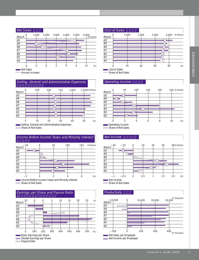



 $=$  Share of Net Sales  $\overline{\phantom{0}}$ 



Share of Net Sales





#### **Operating Income**



— sparamig meanic<br>□ Share of Net Sales



Share of Net Sales

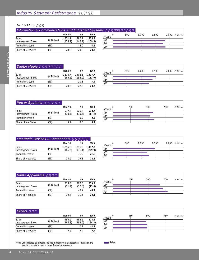#### **NET SALES**

| Information & Communications and Industrial Systems |               |                    |                    |                    |                          |     |       |       |                      |
|-----------------------------------------------------|---------------|--------------------|--------------------|--------------------|--------------------------|-----|-------|-------|----------------------|
|                                                     |               | Mar. 98            | 99                 | 2000               |                          | 500 | 1.000 | 1.500 | (¥ Billion)<br>2.000 |
| <b>Sales</b><br>Intersegment Sales                  | (¥ Billion)   | 1,871.1<br>(153.2) | 1,796.1<br>(145.1) | 1,858.3<br>(159.5) | March<br>$\frac{OO}{99}$ |     |       |       |                      |
| Annual Increase                                     | (%)           |                    | -4.0               | 3.5                | 98                       |     |       |       |                      |
| Share of Net Sales                                  | $\frac{1}{2}$ | 29.8               | 29.3               | 28.3               |                          |     |       |       |                      |

| Digital Media               |             |         |                                    |         |
|-----------------------------|-------------|---------|------------------------------------|---------|
|                             |             | Mar. 98 | 99                                 | 2000    |
| Sales<br>Intersegment Sales | (¥ Billion) | (165.2) | 1,274.7 1,406.5 1,517.7<br>(196.9) | (183.0) |
| Annual Increase             | '%)         |         | 10.3                               | 7 9     |
| Share of Net Sales          | '%)         | 20 3    | 22 Q                               | 23.2    |

|       | 500 | 1,000 | 1,500 | 2,000 (¥ Billion) |
|-------|-----|-------|-------|-------------------|
| March |     |       |       |                   |
| 00    |     |       |       |                   |
| 99    |     |       |       |                   |
| 98    |     |       |       |                   |
|       |     |       |       |                   |

| <b>Power Systems</b>               |             |                 |                 |                 |
|------------------------------------|-------------|-----------------|-----------------|-----------------|
|                                    |             | Mar. 98         | 99              | 2000            |
| Sales<br><b>Intersegment Sales</b> | (¥ Billion) | 577.6<br>(14.5) | 520.6<br>(16.7) | 570.7<br>(17.4) |
| Annual Increase                    | (%)         |                 | $-99$           | 9.6             |
| Share of Net Sales                 | %           | 92              | 85              | 8.7             |

|                 | 250 | 500 | 750<br>(¥ Billion) |
|-----------------|-----|-----|--------------------|
| March           |     |     |                    |
| $\overline{oo}$ |     |     |                    |
| 99              |     |     |                    |
| 98              |     |     |                    |
|                 |     |     |                    |

| Electronic Devices & Components    |             |                    |                    |                    |                   |  |
|------------------------------------|-------------|--------------------|--------------------|--------------------|-------------------|--|
|                                    |             | Mar. 98            | 99                 | 2000               |                   |  |
| <b>Sales</b><br>Intersegment Sales | (¥ Billion) | 1,295.3<br>(166.0) | 1,215.3<br>(176.4) | 1,477.3<br>(229.9) | March<br>00<br>99 |  |
| Annual Increase                    | '%)         |                    | -62                | 21.6               | 98                |  |
| Share of Net Sales                 | '%)         | 20 R               | 19 R               | 22.5               |                   |  |

|                  | 500 | 1,000 | 1,500 | 2,000 (¥ Billion) |
|------------------|-----|-------|-------|-------------------|
| March            |     |       |       |                   |
| $\frac{100}{99}$ |     |       |       |                   |
|                  |     |       |       |                   |
| $\overline{98}$  |     |       |       |                   |
|                  |     |       |       |                   |

| Home Appliances                    |               |                 |                 |                 |
|------------------------------------|---------------|-----------------|-----------------|-----------------|
|                                    |               | Mar. 98         | 99              | 2000            |
| <b>Sales</b><br>Intersegment Sales | $(4$ Billion) | 774.6<br>(51.2) | 707.6<br>(12.0) | 659.9<br>(23.8) |
| Annual Increase                    | (%)           |                 | -8.7            | $-6.7$          |
| Share of Net Sales                 | (%)           | 124             | 11 6            | 10.1            |

|                           | 250 | 500 | 750<br>(¥ Billion) |
|---------------------------|-----|-----|--------------------|
| March                     |     |     |                    |
|                           |     |     |                    |
|                           |     |     |                    |
| $\frac{1}{\frac{99}{98}}$ |     |     |                    |
|                           |     |     |                    |

| <b>Others</b>                             |             |                  |                  |                  |
|-------------------------------------------|-------------|------------------|------------------|------------------|
|                                           |             | Mar. 98          | 99               | 2000             |
| <b>Sales</b><br><b>Intersegment Sales</b> | (¥ Billion) | 483.6<br>(268.3) | 484.5<br>(282.6) | 473.4<br>(194.3) |
| Annual Increase                           | (%)         |                  | 02               | $-2.3$           |
| Share of Net Sales                        | (%)         | 77               | 7 Q              | 72               |

|                 | 250 | 500 | 750<br>(¥ Billion) |
|-----------------|-----|-----|--------------------|
| March           |     |     |                    |
| $\frac{00}{99}$ |     |     |                    |
|                 |     |     |                    |
| $\overline{98}$ |     |     |                    |
|                 |     |     |                    |

Note: Consolidated sales totals include intersegment transactions. Intersegment transactions are shown in parentheses for reference.



Sales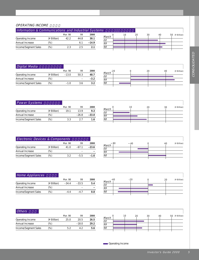#### OPERATING INCOME

| Information & Communications and Industrial Systems |             |         |      |         |             |    |    |    |    |                   |
|-----------------------------------------------------|-------------|---------|------|---------|-------------|----|----|----|----|-------------------|
|                                                     |             | Mar. 98 | 99   | 2000    |             | 10 | 20 | 30 | 4С | 50<br>(¥ Billion) |
| Operating Income                                    | (¥ Billion) | 42.2    | 44.8 | 38.1    | March<br>00 |    |    |    |    |                   |
| Annual Increase                                     | (96)        |         |      | $-14.9$ | 99          |    |    |    |    |                   |
| Income/Segment Sales                                | (%)         |         | 2.5  | 2.1     | 98          |    |    |    |    |                   |
|                                                     |             |         |      |         |             |    |    |    |    |                   |

| Digital Media        |             |         |      |        |
|----------------------|-------------|---------|------|--------|
|                      |             | Mar. 98 | 99   | 2000   |
| Operating Income     | (¥ Billion) | $-13.0$ | 50.3 | 48.7   |
| Annual Increase      | (%)         |         |      | $-3.2$ |
| Income/Segment Sales | (%)         | $-1.0$  | 36   | 32     |



| <b>Power Systems</b> |             |         |         |         |
|----------------------|-------------|---------|---------|---------|
|                      |             | Mar. 98 | 99      | 2000    |
| Operating Income     | (¥ Billion) | 191     | 139     | 9.3     |
| Annual Increase      | '%)         |         | $-26.8$ | $-33.0$ |
| Income/Segment Sales | '%)         | २ २     |         | 1.6     |

| March                       | 10 | 20 | (¥ Billion)<br>30 |
|-----------------------------|----|----|-------------------|
|                             |    |    |                   |
| $\frac{100}{\frac{99}{98}}$ |    |    |                   |
|                             |    |    |                   |
|                             |    |    |                   |

| Electronic Devices & Components |             |         |         |         |  |  |  |  |
|---------------------------------|-------------|---------|---------|---------|--|--|--|--|
|                                 |             | Mar. 98 | 99      | 2000    |  |  |  |  |
| Operating Income                | (¥ Billion) | 41.0    | $-67.1$ | $-23.6$ |  |  |  |  |
| Annual Increase                 | (%)         |         |         |         |  |  |  |  |
| Income/Segment Sales            | (%)         | 3 2     | $-5.5$  | –1.6    |  |  |  |  |

|                 | -80 | 40 | (¥ Billion)<br>40 |
|-----------------|-----|----|-------------------|
| March           |     |    |                   |
| $\frac{00}{99}$ |     |    |                   |
|                 |     |    |                   |
| $\overline{98}$ |     |    |                   |
|                 |     |    |                   |

| Home Appliances      |             |         |         |      |
|----------------------|-------------|---------|---------|------|
|                      |             | Mar. 98 | QQ      | 2000 |
| Operating Income     | (¥ Billion) | $-34.4$ | $-33.5$ | 5.4  |
| Annual Increase      | (%)         |         |         |      |
| Income/Segment Sales | '%)         |         |         | n 8  |

|                          | $-20$ | 20 | (¥ Billion) |
|--------------------------|-------|----|-------------|
| $March$ <sup>-40</sup>   |       |    |             |
| $rac{\overline{00}}{99}$ |       |    |             |
|                          |       |    |             |
| $\overline{98}$          |       |    |             |
|                          |       |    |             |

| <b>Others</b>        |             |         |         |      |             |    |    |    |    |    |             |
|----------------------|-------------|---------|---------|------|-------------|----|----|----|----|----|-------------|
|                      |             | Mar. 98 | 99      | 2000 |             | 10 | 20 | 30 | 40 | 50 | (¥ Billion) |
| Operating Income     | (¥ Billion) | 25.0    | 20.5    | 26.5 | March<br>00 |    |    |    |    |    |             |
| Annual Increase      | $(\%)$      |         | $-18.0$ | 29.2 |             |    |    |    |    |    |             |
|                      | (% )        | 5.2     | 4.2     | 5.6  | 98          |    |    |    |    |    |             |
| Income/Segment Sales |             |         |         |      | 99          |    |    |    |    |    |             |

**Conducter Conducts**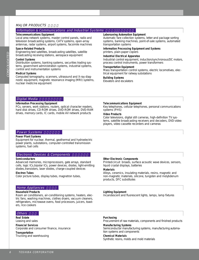#### MAJOR PRODUCTS

#### Information & Communications and Industrial Systems

#### **Telecommunications Equipment**

Local area network systems, master control panels, radio and television broadcasting systems, CATV systems, open-array antennas, radar systems, airport systems, facsimile machines

#### **Space-Related Products**

Engineering test satellites, broadcasting satellites, satellite broadcasting receiving stations, aerospace equipment

#### **Control Systems**

Distribution systems, banking systems, securities trading systems, government administration systems, industrial systems, control and instrumentation systems

#### **Medical Systems**

Computed tomography, scanners, ultrasound and X-ray diagnostic equipment, magnetic resonance imaging (MRI) systems, nuclear medicine equipment

#### **Laborsaving Automation Equipment**

Automatic fare collection systems, letter-and package sorting systems, banking machines, point-of-sale systems, automated transportation systems

#### **Information Processing Equipment and Systems** printers, plain-paper copiers

#### **Industrial Electrical Apparatus**

Industrial control equipment, induction/synchronous/DC motors, process control instruments, power transformers

#### **Transportation Equipment**

Mass transportation control systems, electric locomotives, electrical equipment for railway substations

#### **Building Systems**

Elevators and escalators

#### Digital Media

#### **Information Processing Equipment**

PCs, servers, work stations, routers, optical character readers, hard disk drives, CD-ROM drives, DVD-ROM drives, DVD-RAM drives, memory cards, IC cards, mobile AV network products

#### **Telecommunications Equipment**

Key telephones, cellular telephones, personal communications systems (PHS)

#### **Video Products**

Color televisions, digital still cameras, high-definition TV systems, satellite broadcasting receivers and decoders, DVD-video players, video cassette recorders and cameras

#### **Power Systems**

#### **Power Plant Systems**

Equipment for nuclear, thermal, geothermal and hydroelectric power plants, substations, computer-controlled transmission systems, fuel cells

#### Electronic Devices & Components

#### **Semiconductors**

Advanced memories, microprocessors, gate arrays, standard cells, logic ICs,bipolar ICs, power devices, diodes, light-emitting diodes, transistors, laser diodes, charge-coupled devices

#### **Electron Tubes**

Color picture tubes, display tubes, magnetron tubes,

#### Home Appliances

#### **Household Products**

Room air conditioners, air-conditioning systems, heaters, electric fans, washing machines, clothes dryers, vacuum cleaners, refrigerators, microwave ovens, food processors, juicers, toasters, rice cookers

#### Others

#### **Real Estate** Leasing and sales

**Financial Services**

Corporate and consumer finance, insurance

**Transportation** Trucking and warehousing

#### **Other Electronic Components**

Printedcircuit broads, surface acoustic wave devices, sensors, liquid crystal displays, batteries

#### **Materials**

Alloys, ceramics, insulating materials, resins, magnetic and non-magnetic materials, silicone, tungsten and molybdenum products, DFC substitutes

#### **Lighting Equipment**

Incandescent and fluorescent lights, lamps, lamp fixtures

## **Purchasing**

Procurement of raw materials, components and finished products

#### **Manufacturing Systems**

Semiconductor manufacturing systems, manufacturing automation systems and components

#### **Chemical Materials**

Synthetic resins, molds and mold materials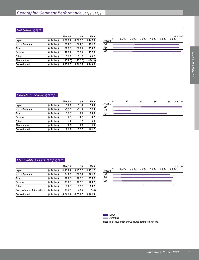#### $\sqrt{\textit{Net Sales}}$

|               |             | Mar. 98    | 99        | 2000    |
|---------------|-------------|------------|-----------|---------|
| Japan         | (¥ Billion) | 4,808.1    | 4,500.3   | 4,447.9 |
| North America | (¥ Billion) | 804.6      | 864.3     | 921.8   |
| Asia          | (¥ Billion) | 580.8      | 603.2     | 653.8   |
| Europe        | (¥ Billion) | 490.1      | 552.2     | 517.2   |
| Other         | (¥ Billion) | 50.5       | 51.5      | 63.0    |
| Eliminations  | (¥ Billion) | (1, 275.6) | (1,270.6) | (854.3) |
| Consolidated  | (¥ Billion) | 5.458.5    | 5.300.9   | 5.749.4 |



#### **Operating Income**

|               |             | Mar. 98 | 99      | 2000  |
|---------------|-------------|---------|---------|-------|
| Japan         | (¥ Billion) | 75.4    | 21.2    | 58.7  |
| North America | (¥ Billion) | $-22.5$ | $-11.7$ | 12.4  |
| Asia          | (¥ Billion) | 16.6    | 9.1     | 23.2  |
| Europe        | (¥ Billion) | 5.6     | 4.5     | 3.0   |
| Other         | (¥ Billion) | 1.7     | 1.6     | 0.8   |
| Eliminations  | (¥ Billion) | 5.5     | 5.8     | 2.9   |
| Consolidated  | (¥ Billion) | 82.3    | 30.5    | 101.0 |



#### Identifiable Assets

|                            |             | Mar. 98 | 99      | 2000    |
|----------------------------|-------------|---------|---------|---------|
| Japan                      | (¥ Billion) | 4,934.7 | 5,157.3 | 4,951.0 |
| North America              | (¥ Billion) | 344.5   | 302.1   | 261.5   |
| Asia                       | (¥ Billion) | 289.0   | 280.0   | 276.5   |
| Europe                     | (¥ Billion) | 238.8   | 207.0   | 188.0   |
| Other                      | (¥ Billion) | 29.8    | 27.5    | 28.6    |
| Corporate and Eliminations | (¥ Billion) | 225.3   | 49.7    | (3.4)   |
| Consolidated               | (¥ Billion) | 6.062.1 | 6.023.6 | 5.702.2 |
|                            |             |         |         |         |

| March           |  | 1,000 2,000 3,000 4,000 5,000 6,000 |  | (¥ Billion) |
|-----------------|--|-------------------------------------|--|-------------|
| $\frac{00}{99}$ |  |                                     |  |             |
|                 |  |                                     |  |             |
| $\overline{98}$ |  |                                     |  |             |
|                 |  |                                     |  |             |

**Japan** 

**Overseas** 

Note: The above graph shows figures before eliminations.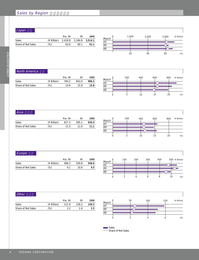## Sales by Region

## Japan

|                    |                                                         | Mar. 98 | 99   | 2000 |
|--------------------|---------------------------------------------------------|---------|------|------|
| <b>Sales</b>       | $(\text{\texttt{¥ } } Billion)$ 3,418.8 3,184.8 3,514.1 |         |      |      |
| Share of Net Sales | $(\%)$                                                  | 62.6    | 60 1 | 61.1 |
|                    |                                                         |         |      |      |



#### North America

|                    |             | Mar. 98 | QQ    | 2000  |
|--------------------|-------------|---------|-------|-------|
| Sales              | (¥ Billion) | 794.2   | 843.0 | 906.2 |
| Share of Net Sales | $(\%)$      | 14.6    | 159   | 15.8  |
|                    |             |         |       |       |



#### Asia

|                    |             | Mar. 98 | QQ    | 2000  |
|--------------------|-------------|---------|-------|-------|
| Sales              | (¥ Billion) | 627.3   | 585.1 | 636.3 |
| Share of Net Sales | (%)         | 11.5    | 11 O  | 11.1  |



#### Europe

|                    |             | Mar. 98 | 99    | 2000  |
|--------------------|-------------|---------|-------|-------|
| <b>Sales</b>       | (¥ Billion) | 496.3   | 559.8 | 546.6 |
| Share of Net Sales | (%)         | Q 1     | 10 6  | 9.5   |



#### Other

|             | Mar. 98 | QQ    | 2000  |
|-------------|---------|-------|-------|
| (¥ Billion) | 121.9   | 128.2 | 146.2 |
| (%)         |         |       | 2.5   |
|             |         |       |       |



Sales Share of Net Sales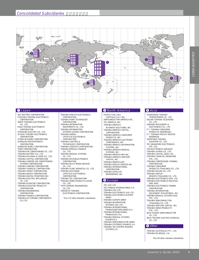

A&T BATTERY CORPORATION FUKUOKA TOSHIBA ELECTRONICS CORPORATION IWATE TOSHIBA ELECTRONICS

CO., LTD. KAGA TOSHIBA ELECTRONICS

CORPORATION KITASHIBA ELECTRIC CO., LTD. KITSUKI TOSHIBA ELECTRONICS **CORPORATION** KYODO BUILDING CORPORATION SHIBAURA MECHATRONICS CORPORATION SHIBAURA NIDEC CORPORATION TERM CORPORATION TOSHIBA AIR CONDITIONING CO., LTD. TOSHIBA BATTERY CO., LTD. TOSHIBA BUILDING & LEASE CO., LTD. TOSHIBA CAPITAL CORPORATION TOSHIBA CARRIER AIR CONDITIONING SYSTEMS CORPORATION TOSHIBA CARRIER CORPORATION TOSHIBA CHEMICAL CORPORATION TOSHIBA CREDIT CORPORATION TOSHIBA DEVICE CORPORATION

TOSHIBA DIGITAL FRONTIERS INC. TOSHIBA ELECTRIC APPLIANCES CO., LTD. TOSHIBA ELEVATOR CORPORATION

TOSHIBA ELEVATOR PRODUCTS CORPORATION

TOSHIBA ENGINEERING

CORPORATION

TOSHIBA FINANCE CORPORATION TOSHIBA GE TURBINE COMPONENTS CO.,LTD.

TOSHIBA HOKUTO ELECTRONICS

- CORPORATION TOSHIBA HOME TECHNOLOGY
- CORPORATION
- TOSHIBA INFORMATION
- EQUIPMENTS CO., LTD. TOSHIBA INFORMATION
- SYSTEMS (JAPAN) CORPORATION TOSHIBA KANSAI
- LIFESTYLE-ELECTRONICS **CORPORATION**
- TOSHIBA LIGHTING &
- TECHNOLOGY CORPORATION TOSHIBA LOGISTICS CORPORATION TOSHIBA MEDICAL FINANCE
- CO., LTD. TOSHIBA MEDICAL SYSTEMS
- CO., LTD. TOSHIBA MICROELECTRONICS
- **CORPORATION** TOSHIBA MULTI MEDIA DEVICES
- CO., LTD. TOSHIBA PLANT KENSETSU CO., LTD.
- TOSHIBA SHUTOKEN LIFESTYLE-ELECTRONICS
- **CORPORATION**
- TOSHIBA TEC CORPORATION TOSHIBA VIDEO PRODUCTS JAPAN
- CO., LTD. TOYO CARRIER ENGINEERING
- CO., LTD.
- YOKKAICHI TOSHIBA
- ELECTRONICS CORPORATION
	- Plus 174 other domestic subsidiaries

#### **O** Japan **Communical Communication Communication Communication Communication Communication Communication**

#### PACIFIC FUEL CELL

- CAPITAL(U.S.A.), INC. SEMICONDUCTOR AMERICA INC.
- TEC AMERICA, INC. TOSHIBA AMERICA
- BUSINESS SOLUTIONS, INC. TOSHIBA AMERICA CAPITAL
- CORPORATION
- TOSHIBA AMERICA CONSUMER PRODUCTS, INC. TOSHIBA AMERICA ELECTRONIC
- COMPONENTS, INC. TOSHIBA AMERICA INFORMATION
- SYSTEMS, INC. TOSHIBA AMERICA MEDICAL
- SYSTEMS, INC.
- TOSHIBA AMERICA MRI INC. TOSHIBA AMERICA VENTURE
- CAPITAL, INC.
- TOSHIBA AMERICA,INC.
- TOSHIBA DISPLAY DEVICES INC. TOSHIBA INTERNATIONAL
- **CORPORATION** TOSHIBA SATELLITE
- BROADBAND, INC.

#### **B** Europe

#### TEC (UK) LTD. TEC FRANCE INTERNATIONAL S.A. TOSHIBA (UK) LTD. TOSHIBA ELECTRONICS (UK) LTD. TOSHIBA ELECTRONICS EUROPE

GMBH TOSHIBA EUROPE GMBH TOSHIBA INFORMATION SYSTEMS (UK) LTD.

- TOSHIBA INTERNATIONAL FINANCE(NETHERLANDS) B.V.
- TOSHIBA INTERNATIONAL FINANCE(UK) PLC.
- TOSHIBA MEDICAL SYSTEMS EUROPE B.V.
- TOSHIBA SEMICONDUCTOR GMBH TOSHIBA SYSTÈMES (FRANCE) S.A. TOSHIBA TEC EUROPE IMAGING SYSTEMS S.A.

CHANGZHOU TOSHIBA

TRANSFORMER CO., LTD. DALIAN TOSHIBA TELEVISION CO., LTD. HANGZHI MACHINERY & ELECTRONICS CO., LTD. P.T. TOSHIBA CONSUMER PRODUCTS (INDONESIA) P.T. TOSHIBA DISPLAY DEVICES INDONESIA SHENYANG TOSHIBA ELEVATOR CO., LTD. TEC SINGAPORE ELECTRONICS PTE. LTD. TIM ELECTRONICS SDN.BHD. TOSHIBA (CHINA) CO., LTD. TOSHIBA CAPITAL (ASIA) LTD. TOSHIBA CHEMICAL SINGAPORE PTE., LTD. TOSHIBA COMPRESSOR (TAIWAN) CORPORATION TOSHIBA CONSUMER PRODUCTS (THAILAND) CO., LTD. TOSHIBA DALIAN CO., LTD. TOSHIBA DISPLAY DEVICES (THAILAND) CO., LTD. TOSHIBA ELECTRONICS ASIA, LTD. TOSHIBA ELECTRONICS MALAYSIA SDN. BHD. TOSHIBA ELECTRONICS TAIWAN CORPORATION TOSHIBA INFORMATION EQUIPMENT (PHILIPPINES), INC. TOSHIBA MEDICAL SYSTEMS ASIA PTE., LTD. TOSHIBA SEMICONDUCTOR (THAILAND) CO., LTD. TOSHIBA VENTURE CAPITAL, INC. TOSHIBA VIDEO PRODUCTS PTE., LTD. WUXI HUAZHI SEMICONDUCTOR CO., LTD. WUXI TOCHEMI ELECTRO CHEMICAL

CO., LTD.

#### **O** Other

TOSHIBA (AUSTRALIA) PTY., LTD. TOSHIBA DO BRASIL, S.A.

Plus 49 other overseas subsidiaries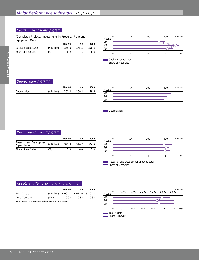#### Capital Expenditures

(Completed Projects, Investments in Property, Plant and Equipment Only)

|                      |             | Mar. 98 | QQ    | 2000  |
|----------------------|-------------|---------|-------|-------|
| Capital Expenditures | (¥ Billion) | 339.6   | 375.5 | 298.5 |
| Share of Net Sales   | (%)         |         |       | 5.2   |



**CONSOLIDATED** CONSOLIDATED

#### $\sqrt{Deprecision}$

|              |             | Mar. 98 | 99    | 2000  |
|--------------|-------------|---------|-------|-------|
| Depreciation | (¥ Billion) | 291.4   | 309.8 | 329.6 |
|              |             |         |       |       |



```
Depreciation
```
#### $R&D$  Expenditures

|                                          |             | Mar. 98 | QQ    | 2000  |
|------------------------------------------|-------------|---------|-------|-------|
| Research and Development<br>Expenditures | (¥ Billion) | 3229    | 316.7 | 334.4 |
| Share of Net Sales                       | (%)         | 59      | 6 N   | 5.8   |



Research and Development Expenditures Share of Net Sales

#### **Assets and Turnover**

|                                                        |             | Mar. 98 | 99                      | 2000 |  |  |
|--------------------------------------------------------|-------------|---------|-------------------------|------|--|--|
| <b>Total Assets</b>                                    | (¥ Billion) |         | 6,062.1 6,023.6 5,702.2 |      |  |  |
| Asset Turnover                                         | (Times)     | 0.92    | O 88                    | 0.98 |  |  |
| Note: Asset Turnover = Net Sales/Average Total Assets. |             |         |                         |      |  |  |

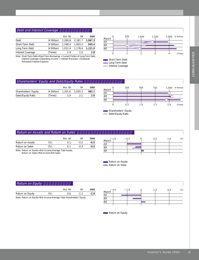#### Debt and Interest Coverage

|                          |             | Mar. 98 | 99      | 2000    |
|--------------------------|-------------|---------|---------|---------|
| Debt                     | (¥ Billion) | 2,260.8 | 2,181.7 | 1,967.3 |
| Short-Term Debt          | (¥ Billion) | 1,248.4 | 1,003.3 | 845.4   |
| Long-Term Debt           | (¥ Billion) | 1,012.4 | 1.178.4 | 1.121.9 |
| <b>Interest Coverage</b> | (Times)     | 19      | 10      | 2.8     |

Note: Short-Term Debt=Short-Term Borrowings + Current Portion of Long-Term Debt. Interest Coverage=(Operating Income + Interest Received + Dividends Received)/Interest Expense.



#### Shareholders' Equity and Debt/Equity Ratio

|                      |             | Mar. 98 | QQ      | 2000  |
|----------------------|-------------|---------|---------|-------|
| Shareholders' Equity | (¥ Billion) | 1,201.6 | 1,050.3 | 982.1 |
| Debt/Equity Ratio    | (Times)     | 19      |         | 2.0   |



**Return on Assets and Return on Sales** 

|                                                           |        | Mar. 98 | QQ     | 2000   |
|-----------------------------------------------------------|--------|---------|--------|--------|
| Return on Assets                                          | (%)    | 01      | $-0.2$ | $-0.5$ |
| Return on Sales                                           | $(\%)$ | O 1     | $-0.3$ | $-0.5$ |
| Note: Return on Assets = Net Income/Average Total Assets. |        |         |        |        |

Return on Sales=Net Income/Net Sales.



Return on Assets Return on Sales

Shareholders' Equity Debt/Equity Ratio

| Return on Equity                                                        |     |         |        |        |          |     |     |     |     |        |
|-------------------------------------------------------------------------|-----|---------|--------|--------|----------|-----|-----|-----|-----|--------|
|                                                                         |     | Mar. 98 | 99     | 2000   |          | 4.0 | 2.0 | 2.0 | 4.0 | $(\%)$ |
| Return on Equity                                                        | (9) | 0.6     | $-1.2$ | $-2.8$ | March    |     |     |     |     |        |
| Note: Return on Equity = Net Income/Average Total Shareholders' Equity. |     |         |        |        | 00<br>99 |     |     |     |     |        |
|                                                                         |     |         |        |        | 98       |     |     |     |     |        |
|                                                                         |     |         |        |        |          |     |     |     |     |        |

Return on Equity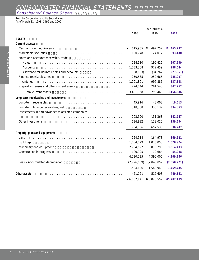## CONSOLIDATED FINANCIAL STATEMENTS

## **Consolidated Balance Sheets**

Toshiba Corporation and its Subsidiaries As of March 31, 1998, 1999 and 2000

|                                                     |   | Yen (Millions) |   |             |  |             |
|-----------------------------------------------------|---|----------------|---|-------------|--|-------------|
|                                                     |   | 1998           |   | 1999        |  | 2000        |
| <b>ASSETS</b>                                       |   |                |   |             |  |             |
| Current assets:                                     |   |                |   |             |  |             |
| Cash and cash equivalents                           | ¥ | 615,935        | ¥ | 497,752     |  | ¥ $465,237$ |
| Marketable securities                               |   | 120,748        |   | 124,017     |  | 93,140      |
| Notes and accounts receivable, trade                |   |                |   |             |  |             |
| <b>Notes</b>                                        |   | 224,130        |   | 199,416     |  | 207,939     |
| Accounts                                            |   | 1,033,368      |   | 972,459     |  | 988,044     |
| Allowance for doubtful notes and accounts<br>.      |   | (38,603)       |   | (34, 267)   |  | (27, 551)   |
| Finance receivables, net                            |   | 250,535        |   | 259,665     |  | 245,097     |
| Inventories                                         |   | 1,001,801      |   | 997,886     |  | 837,188     |
| Prepaid expenses and other current assets           |   | 224,044        |   | 281,540     |  | 347,252     |
| Total current assets                                |   | 3,431,958      |   | 3,298,468   |  | 3,156,346   |
| Long-term receivables and investments:              |   |                |   |             |  |             |
| Long-term receivables                               |   | 45,916         |   | 43,008      |  | 19,613      |
| Long-term finance receivables, net                  |   | 318,368        |   | 335,137     |  | 334,853     |
| Investments in and advances to affiliated companies |   |                |   |             |  |             |
|                                                     |   | 203,590        |   | 151,368     |  | 142,247     |
| Other investments                                   |   | 136,992        |   | 128,020     |  | 139,534     |
|                                                     |   | 704,866        |   | 657,533     |  | 636,247     |
| Property, plant and equipment:                      |   |                |   |             |  |             |
| Land                                                |   | 154,514        |   | 164,973     |  | 169,621     |
| <b>Buildings</b>                                    |   | 1,034,029      |   | 1,076,050   |  | 1,070,924   |
| Machinery and equipment                             |   | 2,934,697      |   | 3,076,298   |  | 3,014,433   |
| Construction in progress                            |   | 106,995        |   | 72,684      |  | 54,988      |
|                                                     |   | 4,230,235      |   | 4,390,005   |  | 4,309,966   |
| Less - Accumulated depreciation                     |   | (2,726,039)    |   | (2,840,057) |  | (2,850,221) |
|                                                     |   | 1,504,196      |   | 1,549,948   |  | 1,459,745   |
| Other assets                                        |   | 421,121        |   | 517,608     |  | 449,851     |
|                                                     |   | ¥ 6,062,141    |   | ¥ 6,023,557 |  | ¥5,702,189  |
|                                                     |   |                |   |             |  |             |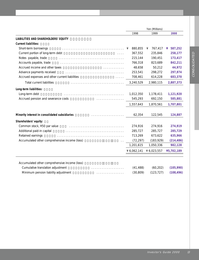|                                                                                          |              | Yen (Millions) |              |
|------------------------------------------------------------------------------------------|--------------|----------------|--------------|
|                                                                                          | 1998         | 1999           | 2000         |
| LIABILITIES AND SHAREHOLDERS' EQUITY                                                     |              |                |              |
| <b>Current liabilities:</b>                                                              |              |                |              |
| Short-term borrowings                                                                    | 880,855<br>¥ | 767,417<br>¥   | 587,252<br>¥ |
| Current portion of long-term debt<br>$\mathbf{1}$ $\mathbf{1}$ $\mathbf{1}$ $\mathbf{1}$ | 367,552      | 235,846        | 258,177      |
| Notes payable, trade                                                                     | 215,144      | 190,451        | 173,417      |
| Accounts payable, trade                                                                  | 766,318      | 823,689        | 842,211      |
| Accrued income and other taxes                                                           | 48,658       | 50,212         | 44,972       |
| Advance payments received                                                                | 253,541      | 298,272        | 297,974      |
| Accrued expenses and other current liabilities                                           | 708,461      | 614,228        | 683,370      |
| <b>Total current liabilities</b>                                                         | 3,240,529    | 2,980,115      | 2,887,373    |
| Long-term liabilities:                                                                   |              |                |              |
| Long-term debt                                                                           | 1,012,350    | 1,178,411      | 1,121,920    |
| Accrued pension and severance costs<br>a dia kaominina mpikambana a                      | 545,293      | 692,150        | 585,881      |
|                                                                                          | 1,557,643    | 1,870,561      | 1,707,801    |
| Minority interest in consolidated subsidiaries<br>.                                      | 62,354       | 122,545        | 124,887      |
| Shareholders' equity:                                                                    |              |                |              |
| Common stock, ¥50 par value                                                              | 274,916      | 274,916        | 274,919      |
| Additional paid-in capital                                                               | 285,727      | 285,727        | 285,729      |
| Retained earnings                                                                        | 713,269      | 673,622        | 635,966      |
| Accumulated other comprehensive income (loss)                                            | (72, 297)    | (183, 929)     | (214, 486)   |
|                                                                                          | 1,201,615    | 1,050,336      | 982,128      |
|                                                                                          | 46,062,141   | ¥ 6,023,557    | ¥5,702,189   |
|                                                                                          |              |                |              |
| Accumulated other comprehensive income (loss)                                            |              |                |              |
| Cumulative translation adjustment<br>.<br>Minimum pension liability adjustment           | (41, 488)    | (60, 202)      | (105, 990)   |
| .                                                                                        | (30, 809)    | (123, 727)     | (108, 496)   |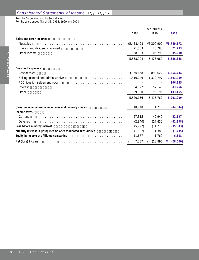#### Consolidated Statements of Income

Toshiba Corporation and its Subsidiaries

For the years ended March 31, 1998, 1999 and 2000

|                                                                               |            | Yen (Millions) |               |
|-------------------------------------------------------------------------------|------------|----------------|---------------|
|                                                                               | 1998       | 1999           | 2000          |
| Sales and other income:                                                       |            |                |               |
| Net sales                                                                     | ¥5,458,498 | ¥5,300,902     | ¥5,749,372    |
| Interest and dividends received                                               | 21,503     | 20,788         | 21,793        |
| Other income                                                                  | 58,903     | 105,290        | 85,200        |
|                                                                               | 5,538,904  | 5,426,980      | 5,856,365     |
| Costs and expenses:                                                           |            |                |               |
| Cost of sales                                                                 | 3,960,158  | 3,890,622      | 4,254,444     |
| Selling, general and administrative<br>.                                      | 1,416,046  | 1,379,797      | 1,393,959     |
| FDC litigation settlement FDC                                                 |            |                | 106,385       |
| Interest                                                                      | 54,022     | 52,148         | 43,256        |
| Other                                                                         | 89,930     | 93,195         | 103,165       |
|                                                                               | 5,520,156  | 5,415,762      | 5,901,209     |
| (Loss) income before income taxes and minority interest<br>and a series and a | 18,748     | 11,218         | (44, 844)     |
| Income taxes:                                                                 |            |                |               |
| Current                                                                       | 27,315     | 42,949         | 52,397        |
| Deferred                                                                      | (2,840)    | (17, 455)      | (61, 398)     |
| Loss before minority interest                                                 | (5, 727)   | (14, 276)      | (35, 843)     |
| Minority interest in (loss) income of consolidated subsidiaries               | (1, 387)   | 1,380          | (1, 735)      |
| Equity in income of affiliated companies                                      | 11,677     | 1,760          | 6,108         |
| Net (loss) income                                                             | 7,337<br>¥ | (13,896)<br>¥  | (28,000)<br>¥ |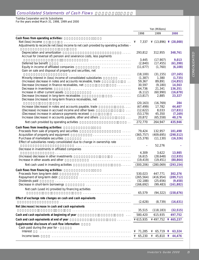#### **Consolidated Statements of Cash Flows**

## Toshiba Corporation and its Subsidiaries

For the years ended March 31, 1998, 1999 and 2000

|                                                                                                                                                                                                                                                                            | 1998                  | 1999               | 2000                      |
|----------------------------------------------------------------------------------------------------------------------------------------------------------------------------------------------------------------------------------------------------------------------------|-----------------------|--------------------|---------------------------|
| Cash flows from operating activities:                                                                                                                                                                                                                                      |                       |                    |                           |
| Net (loss) income                                                                                                                                                                                                                                                          | 7,337<br>¥            |                    | ¥ $(13,896)$ ¥ $(28,000)$ |
| Adjustments to reconcile net (loss) income to net cash provided by operating activities -                                                                                                                                                                                  |                       |                    |                           |
| Depreciation and amortization<br>and a single                                                                                                                                                                                                                              | 293,812               | 312,955            | 348,761                   |
| Accrual for (reversal of) pension and severance costs, less payments                                                                                                                                                                                                       |                       |                    |                           |
|                                                                                                                                                                                                                                                                            | 3,445                 | (17,907)           | 9,013                     |
| Deferred tax benefit                                                                                                                                                                                                                                                       | (2,840)               | (17, 455)          | (61, 398)                 |
| Equity in income of affiliated companies<br>and the contract of the contract of the contract of the contract of the contract of the contract of the contract of the contract of the contract of the contract of the contract of the contract of the contract of the contra | (11, 677)             | (1,760)            | (6, 108)                  |
| Gain on sale and disposal of property and securities, net                                                                                                                                                                                                                  |                       |                    |                           |
| Minority interest in (loss) income of consolidated subsidiaries                                                                                                                                                                                                            | (18, 100)<br>(1, 387) | (31, 155)<br>1,380 | (27, 165)<br>(1, 735)     |
| and a straight<br>(Increase) decrease in notes and accounts receivable, trade<br><b>Contractor</b>                                                                                                                                                                         | 59,367                | 89,891             | (14, 852)                 |
| Decrease (increase) in finance receivables, net<br>and a straight and                                                                                                                                                                                                      | 30,597                | (9,180)            | 14,563                    |
| Decrease in inventories                                                                                                                                                                                                                                                    | 64,736                | 21,341             | 136,351                   |
| Increase in other current assets                                                                                                                                                                                                                                           | (6, 112)              | (60,990)           | (16, 678)                 |
| Decrease (increase) in long-term receivables<br>and a straight and a straight                                                                                                                                                                                              | (13, 817)             | 2,885              | 23,327                    |
| Decrease (increase) in long-term finance receivables, net                                                                                                                                                                                                                  |                       |                    |                           |
| .                                                                                                                                                                                                                                                                          | (20, 163)             | (16, 769)          | 284                       |
| Increase (decrease) in notes and accounts payable, trade<br><b>Contractor</b>                                                                                                                                                                                              | (67, 499)             | 17,782             | 44,407                    |
| (Decrease) increase in accrued income and other taxes<br>$\sim 100$                                                                                                                                                                                                        | (12,622)              | 8,033              | (17, 831)                 |
| (Decrease) increase in advance payments received<br>and a straightful and                                                                                                                                                                                                  | (53, 179)             | 45,350             | (7, 169)                  |
| Increase (decrease) in accounts payable, other and others<br>$\alpha$ , $\alpha$ , $\alpha$                                                                                                                                                                                | 20,872                | (65, 558)          | 40,176                    |
| Net cash provided by operating activities<br>$\ddotsc$                                                                                                                                                                                                                     | 272,770               | 264,947            | 435,946                   |
| Cash flows from investing activities:                                                                                                                                                                                                                                      |                       |                    |                           |
| Proceeds from sale of property and securities                                                                                                                                                                                                                              | 79,424                | 132,957            | 101,498                   |
| Acquisition of property and equipment                                                                                                                                                                                                                                      | (365, 757)            | (409, 695)         | (298, 512)                |
| Purchase of marketable securities                                                                                                                                                                                                                                          | (15, 378)             | (11, 130)          | (16, 326)                 |
| Effect of subsidiaries newly consolidated due to change in ownership rate                                                                                                                                                                                                  |                       |                    |                           |
| Decrease in investments in affiliated companies                                                                                                                                                                                                                            |                       | 52,276             |                           |
|                                                                                                                                                                                                                                                                            | 4,309                 | 3,622              | 13,985                    |
| (Increase) decrease in other investments                                                                                                                                                                                                                                   | 16,615                | (28, 648)          | (12, 935)                 |
| Increase in other assets and other                                                                                                                                                                                                                                         | (19, 419)             | (19, 451)          | (80, 864)                 |
| Net cash used in investing activities<br>and a straight                                                                                                                                                                                                                    | (300, 206)            | (280, 069)         | (293, 154)                |
| Cash flows from financing activities:                                                                                                                                                                                                                                      |                       |                    |                           |
| Proceeds from long-term debt                                                                                                                                                                                                                                               | 530,023               | 447,771            | 302,376                   |
| Repayment of long-term debt                                                                                                                                                                                                                                                | (265, 564)            | (416, 954)         | (289, 712)                |
| Dividends paid                                                                                                                                                                                                                                                             | (32, 188)             | (25,656)           | (9, 458)                  |
| Decrease in short-term borrowings                                                                                                                                                                                                                                          | (166, 692)            | (99, 483)          | (161, 882)                |
| Net cash (used in) provided by financing activities                                                                                                                                                                                                                        |                       |                    |                           |
|                                                                                                                                                                                                                                                                            | 65,579                | (94, 322)          | (158, 676)                |
| Effect of exchange rate changes on cash and cash equivalents                                                                                                                                                                                                               |                       |                    |                           |
|                                                                                                                                                                                                                                                                            | (2,628)               | (8, 739)           | (16, 631)                 |
| Net (decrease) increase in cash and cash equivalents                                                                                                                                                                                                                       |                       |                    |                           |
|                                                                                                                                                                                                                                                                            | 35,515                | (118, 183)         | (32, 515)                 |
| Cash and cash equivalents at beginning of year<br>$\sim$ $\sim$ $\sim$                                                                                                                                                                                                     | 580,420               | 615,935            | 497,752                   |
| Cash and cash equivalents at end of year<br>.                                                                                                                                                                                                                              | ¥ 615,935             | ¥497,752 ¥465,237  |                           |
| Supplemental disclosure of cash flow information:                                                                                                                                                                                                                          |                       |                    |                           |
| Cash paid during the year for -                                                                                                                                                                                                                                            |                       |                    |                           |
| Interest                                                                                                                                                                                                                                                                   | 71,285<br>¥           | $65,719$ ¥<br>¥    | 63,324                    |
| Income taxes                                                                                                                                                                                                                                                               | 65,230<br>¥           | ¥ 45,810 ¥         | 44,476                    |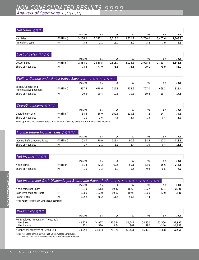# NON-CONSOLIDATED RESULTS

## Analysis of Operations

| Net Sales          |             |         |         |         |         |         |         |         |
|--------------------|-------------|---------|---------|---------|---------|---------|---------|---------|
|                    |             | Mar. 94 | 95      | 96      | 97      | 98      | 99      | 2000    |
| Net Sales          | (¥ Billion) | 3,256.2 | 3,325.1 | 3,713.0 | 3,821.7 | 3,700.0 | 3,407.6 | 3,505.3 |
| Annual Increase    | (%)         | 3.4     | 2.1     | 11.7    | 2.9     | $-3.2$  | $-7.9$  | 2.9     |
| Cost of Sales      |             |         |         |         |         |         |         |         |
|                    |             | Mar. 94 | 95      | 96      | 97      | 98      | 99      | 2000    |
| Cost of Sales      | (¥ Billion) | 2,554.1 | 2,560.5 | 2,815.7 | 2,923.8 | 2,925.8 | 2,723.7 | 2,845.6 |
| Share of Net Sales | $(\%)$      | 78.4    | 77.0    | 75.8    | 76.5    | 79.1    | 79.9    | 81.2    |
|                    |             |         |         |         |         |         |         |         |

| Selling, General and Administrative Expenses           |             |        |       |       |                |       |       |       |
|--------------------------------------------------------|-------------|--------|-------|-------|----------------|-------|-------|-------|
|                                                        |             | Mar 94 | 95    | 96    | Q <sub>7</sub> | 98    | 99    | 2000  |
| Selling, General and<br><b>Administrative Expenses</b> | (¥ Billion) | 667.5  | 678.6 | 727 8 | 758.2          | 727 N | 669.2 | 625.4 |
| Share of Net Sales                                     | (96)        | 20.5   | 20.4  | 19.6  | 19.8           | 196   | 19.7  | 17.8  |
|                                                        |             |        |       |       |                |       |       |       |

| <b>Operating Income</b> |                |         |      |       |                |       |      |      |
|-------------------------|----------------|---------|------|-------|----------------|-------|------|------|
|                         |                | Mar. 94 | 95   | 96    | Q <sub>7</sub> | 98    | 99   | 2000 |
| Operating Income        | '¥ Billion)    | 34.6    | 86.0 | 169.6 | 139.6          | -47.2 | 14.7 | 34.3 |
| Share of Net Sales      | $\frac{10}{6}$ |         |      | 4.6   |                |       | U.4  | 1.U  |
|                         |                |         |      |       |                |       |      |      |

Note: Operating Income=Net Sales – Cost of Sales – Selling, General and Administrative Expenses.

| Income Before Income Taxes |             |         |      |       |                |      |         |          |
|----------------------------|-------------|---------|------|-------|----------------|------|---------|----------|
|                            |             | Mar. 94 | 95   | 96    | O <sub>1</sub> | 98   | 99      | 2000     |
| Income Before Income Taxes | (¥ Billion) | 53.7    | 70.9 | 121.4 | 90.2           | 38.5 | $-12.3$ | $-413.6$ |
| Share of Net Sales         | (0)         |         |      |       |                |      | $-0.4$  | $-11.8$  |

| Net Income         |                |         |      |      |                |      |         |          |
|--------------------|----------------|---------|------|------|----------------|------|---------|----------|
|                    |                | Mar. 94 | 95   | 96   | Q <sub>7</sub> | 98   | 99      | 2000     |
| Net Income         | '¥ Billion)    | 31      | 42.2 | 62.5 | 60.            | 33.0 | $-15.6$ | $-244.5$ |
| Share of Net Sales | $\frac{10}{6}$ |         |      |      |                | ם ר  | $-0.5$  | $-7.0$   |

| Net Income and Cash Dividends per Share, and Payout Ratio 1 |         |       |       |       |       |         |                          |  |  |
|-------------------------------------------------------------|---------|-------|-------|-------|-------|---------|--------------------------|--|--|
|                                                             | Mar. 94 | 95    | 96    | 97    | 98    | 99      | 2000                     |  |  |
|                                                             | 9.79    | 13 13 | 19.42 | 18.68 | 10.27 | $-4.84$ | $-75.96$                 |  |  |
|                                                             | 10.00   | 10.00 | 10.00 | 10.00 | 10.00 | 6.00    | 3.00                     |  |  |
| (%)                                                         | 102.2   | 76.2  | 51.5  | 53.5  | 974   | -       | $\overline{\phantom{0}}$ |  |  |
|                                                             |         |       |       |       |       |         |                          |  |  |

Note: Payout Ratio=Cash Dividends/Net Income.

| Mar. 94 | 95     | 96     | 97     | 98     | 99     | 2000     |
|---------|--------|--------|--------|--------|--------|----------|
|         |        |        |        |        |        |          |
| 43.579  | 44.927 | 51.344 | 54.747 | 54.850 | 52.506 | 57.992   |
| 421     | 570    | 864    | 861    | 490    | $-240$ | $-4,045$ |
| 74.558  | 73.463 | 71.170 | 68.441 | 66.471 | 63.328 | 57,561   |
|         |        |        |        |        |        |          |

Note: Net Sales per Employee=Net Sales/Average Employees.

Net Income per Employee=Net Income/Average Employees.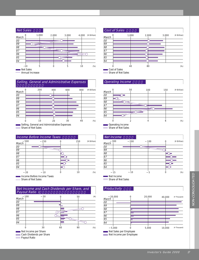



Selling, General and Administrative Expenses  $=$  Share of Net Sales  $\overline{a}$ 

|                 |     | Income Before Income Taxes              |     |             | Net Income        |     |
|-----------------|-----|-----------------------------------------|-----|-------------|-------------------|-----|
| March           | 500 | 250                                     | 250 | (¥ Billion) | 300<br>March      | 200 |
| 00              |     |                                         |     |             | 00                |     |
| $\overline{99}$ |     |                                         |     |             | 99                |     |
| 98              |     |                                         |     |             | 98                |     |
| $\overline{97}$ |     |                                         |     |             | 97                |     |
| $\overline{96}$ |     |                                         |     |             | 96                |     |
| $\overline{95}$ |     |                                         |     |             | 95                |     |
| 94              |     |                                         |     |             | 94                |     |
|                 | 20  | 10<br>$\sim$ Income Defere Income Toyer | 10  | $(\%)$      | 15<br>$M0$ income | 10  |

Income Before Income Taxes = Share of Net Sales





#### **Operating Income**



Share of Net Sales

| Net Income                         |     |     |     |             |
|------------------------------------|-----|-----|-----|-------------|
| March                              | 300 | 200 | 100 | (¥ Billion) |
| 00                                 |     |     |     |             |
| 99                                 |     |     |     |             |
| 98                                 |     |     |     |             |
|                                    |     |     |     |             |
|                                    |     |     |     |             |
| $\frac{97}{96}$<br>$\frac{96}{94}$ |     |     |     |             |
|                                    |     |     |     |             |
|                                    | 15  |     | 5   | $(\%)$      |



= Share of Net Sales

#### $Productivity$

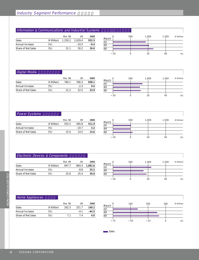#### Information & Communications and Industrial Systems

|                    |             | Mar. 98 | 99      | 2000   |
|--------------------|-------------|---------|---------|--------|
| <b>Sales</b>       | (¥ Billion) | 1.150.2 | 1.029.4 | 932.5  |
| Annual Increase    | (%)         |         | $-10.5$ | $-9.4$ |
| Share of Net Sales | (%)         | 31 1    | 30 2    | 26.6   |



#### **Digital Media**

|                    |             | Mar. 98 | 99     | 2000  |
|--------------------|-------------|---------|--------|-------|
| Sales              | (¥ Billion) | 784.1   | 766.3  | 838.1 |
| Annual Increase    | (%)         |         | $-2.3$ | 9.4   |
| Share of Net Sales | (%)         | 21 Z    | 22.5   | 23.9  |



#### **Power Systems**

|                    |             | Mar. 98 | QQ      | 2000  |
|--------------------|-------------|---------|---------|-------|
| <b>Sales</b>       | (¥ Billion) | 555.5   | 495.8   | 511.9 |
| Annual Increase    | (%)         |         | $-10.7$ | 3.2   |
| Share of Net Sales | (%)         | 15 O    | 14.5    | 14.6  |

|                 |    | 500 | 1,000 |  | 1,500 | (¥ Billion) |
|-----------------|----|-----|-------|--|-------|-------------|
| March           |    |     |       |  |       |             |
|                 |    |     |       |  |       |             |
| $rac{00}{99}$   |    |     |       |  |       |             |
| $\overline{98}$ |    |     |       |  |       |             |
|                 | 20 |     | 20    |  | 40    | $(\%)$      |

## Electronic Devices & Components

|                    |             | Mar. 98 | QQ     | 2000    |
|--------------------|-------------|---------|--------|---------|
| <b>Sales</b>       | (¥ Billion) | 947.7   | 864.4  | 1,082.6 |
| Annual Increase    | (%)         |         | $-8.8$ | 25.2    |
| Share of Net Sales | (%)         | 25.6    | 25.4   | 30.9    |



#### Home Appliances

|                    |             | Mar. 98 | QQ    | 2000    |
|--------------------|-------------|---------|-------|---------|
| <b>Sales</b>       | (¥ Billion) | 262.5   | 251.7 | 140.2   |
| Annual Increase    | (%)         |         | $-41$ | $-44.3$ |
| Share of Net Sales | (%)         |         |       | 4.0     |



**Sales**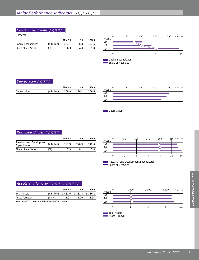#### Capital Expenditures

(Orders)

|                      |             | Mar. 98 | 99    | 2000  |
|----------------------|-------------|---------|-------|-------|
| Capital Expenditures | (¥ Billion) | 234.1   | 136.8 | 103.5 |
| Share of Net Sales   | (%)         | 6.3     | 4 O   | 3.0   |
|                      |             |         |       |       |





#### Depreciation

|              |             | Mar. 98 | 99    | 2000  |
|--------------|-------------|---------|-------|-------|
| Depreciation | (¥ Billion) | 169.9   | 190.2 | 200.6 |
|              |             |         |       |       |



**Depreciation** 

## **R&D Expenditures**

|                                                                |        | Mar. 98 | QQ    | 2000  |
|----------------------------------------------------------------|--------|---------|-------|-------|
| Research and Development $(4 \text{ Billion})$<br>Expenditures |        | 292.9   | 276.9 | 272.6 |
| Share of Net Sales                                             | $(\%)$ | 7 Q     | 81    | 78    |





#### **Assets and Turnover**

|                                                        |             | Mar. 98 | 99                      | 2000 |
|--------------------------------------------------------|-------------|---------|-------------------------|------|
| <b>Total Assets</b>                                    | (¥ Billion) |         | 3,481.0 3,333.3 3,380.2 |      |
| Asset Turnover                                         | (Times)     | 1.08    | 1.00                    | 1.04 |
| Note: Asset Turnover = Net Sales/Average Total Assets. |             |         |                         |      |



Total Assets Asset Turnover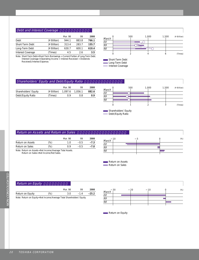#### Debt and Interest Coverage

|                   |             | Mar. 98 | 99    | 2000  |
|-------------------|-------------|---------|-------|-------|
| Debt              | (¥ Billion) | 944.1   | 883.8 | 766.1 |
| Short-Term Debt   | (¥ Billion) | 313.4   | 283.7 | 155.7 |
| Long-Term Debt    | (¥ Billion) | 630.7   | 600.1 | 610.4 |
| Interest Coverage | (Times)     | 4.5     | 26    | 3.5   |

Note: Short-Term Debt=Short-Term Borrowings + Current Portion of Long-Term Debt. Interest Coverage=(Operating Income + Interest Received + Dividends Received)/Interest Expense.



Interest Coverage

#### Shareholders' Equity and Debt/Equity Ratio

|                      |             | Mar. 98 | QQ      | 2000  |
|----------------------|-------------|---------|---------|-------|
| Shareholders' Equity | (¥ Billion) | 1,097.6 | 1.056.1 | 882.6 |
| Debt/Equity Ratio    | (Times)     | በ ዓ     | 0 R     | 0.9   |



Shareholders' Equity Sharenoiders L<sub>atio</sub><br>Debt/Equity Ratio

#### Return on Assets and Return on Sales

|                                                           |     | Mar. 98 | Q۵     | 2000   |
|-----------------------------------------------------------|-----|---------|--------|--------|
| Return on Assets                                          | (%) | 1 N     | $-0.5$ | $-7.3$ |
| Return on Sales                                           | (%) | 0 Q     | $-0.5$ | $-7.0$ |
| Note: Return on Assets = Net Income/Average Total Assets. |     |         |        |        |

Return on Sales=Net Income/Net Sales.



Return on Assets Return on Sales

#### Mar. 98 99 **2000** Return on Equity (%) 3.0 –1.4 **–25.2** Note: Return on Equity=Net Income/Average Total Shareholders' Equity.  $R$ eturn on Equity March  $\overline{OO}$ 99 98 30 20 10 0 (%)

Return on Equity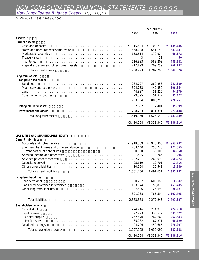# NON-CONSOLIDATED FINANCIAL STATEMENTS

Non-Consolidated Balance Sheets

As of March 31, 1998, 1999 and 2000

|                                                                    | Yen (Millions) |              |            |
|--------------------------------------------------------------------|----------------|--------------|------------|
|                                                                    | 1998           | 1999         | 2000       |
| <b>ASSETS</b>                                                      |                |              |            |
| Current assets:                                                    |                |              |            |
| Cash and deposits                                                  | 315,494<br>¥   | 102,734<br>¥ | ¥ 189,436  |
| Notes and accounts receivable, trade<br>.                          | 658,298        | 641,148      | 633,337    |
| Marketable securities                                              | 153,614        | 170,924      | 66,572     |
| Treasury stock                                                     | 3              | 21           | 50         |
| Inventories                                                        | 616,383        | 583,208      | 485,241    |
| Prepaid expenses and other current assets                          | 217,199        | 209,759      | 268,187    |
| Total current assets                                               | 1,960,993      | 1,707,796    | 1,642,826  |
| Long-term assets:                                                  |                |              |            |
| Tangible fixed assets                                              |                |              |            |
| <b>Buildings</b>                                                   | 264,797        | 260,856      | 241,689    |
| Machinery and equipment                                            | 394,753        | 442,850      | 396,854    |
| Land                                                               | 44,887         | 51,216       | 54,279     |
| Construction in progress                                           | 79,095         | 51,827       | 35,427     |
|                                                                    | 783,534        | 806,750      | 728,251    |
| Intangible fixed assets                                            | 7,632          | 7,401        | 35,999     |
| <b>Investments and others</b>                                      | 728,793        | 811,391      | 973,138    |
| Total long-term assets                                             | 1,519,960      | 1,625,543    | 1,737,389  |
|                                                                    | ¥3,480,954     | ¥3,333,340   | ¥3,380,216 |
|                                                                    |                |              |            |
| LIABILITIES AND SHAREHOLDERS' EQUITY                               |                |              |            |
| <b>Current liabilities:</b>                                        |                |              |            |
| Accounts and notes payable<br>.                                    | ¥ 918,069      | ¥ 916,303    | ¥ 953,282  |
| Short-term bank loans and commercial paper<br>$\ddot{\phantom{0}}$ | 283,440        | 253,740      | 121,655    |
| Current portion of debentures                                      | 30,000         | 30,000       | 34,050     |
| Accrued income and other taxes                                     | 1,435          | 3,265        | 205        |
| Advance payments received                                          | 222,731        | 260,098      | 260,273    |
| Deposits received                                                  | 95,119         | 12,701       | 12,416     |
| Other current liabilities                                          | 10,654         | 15,541       | 13,249     |
| Total current liabilities                                          | 1,561,450      | 1,491,651    | 1,395,132  |
| Long-term liabilities:                                             |                |              |            |
| Long-term debt                                                     | 630,707        | 600,088      | 610,382    |
| Liability for severance indemnities                                | 163,544        | 159,816      | 463,785    |
| Other long-term liabilities                                        | 27,686         | 25,690       | 28,327     |
|                                                                    | 821,938        | 785,594      | 1,102,495  |
| <b>Total liabilities</b>                                           | 2,383,388      | 2,277,245    | 2,497,627  |
|                                                                    |                |              |            |
| Shareholders' equity:                                              |                |              |            |
| Capital stock                                                      | 274,916        | 274,916      | 274,918    |
| Legal reserve                                                      | 327,923        | 330,512      | 331,372    |
| Capital surplus                                                    | 262,640        | 262,640      | 262,643    |
| Profit reserve                                                     | 65,282         | 67,871       | 68,729     |
| Retained earnings                                                  | 494,726        | 450,665      | 276,297    |
| Total shareholders' equity                                         | 1,097,565      | 1,056,095    | 882,588    |
|                                                                    | ¥3,480,954     | ¥3,333,340   | ¥3,380,216 |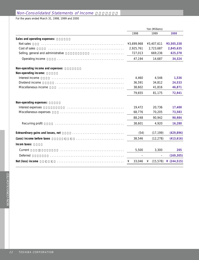## Non-Consolidated Statements of Income

For the years ended March 31, 1998, 1999 and 2000

|                                              | Yen (Millions) |                |                |  |  |
|----------------------------------------------|----------------|----------------|----------------|--|--|
|                                              | 1998           | 1999           | 2000           |  |  |
| Sales and operating expenses:                |                |                |                |  |  |
| Net sales                                    | ¥3,699,968     | ¥3,407,611     | ¥3,505,338     |  |  |
| Cost of sales                                | 2,925,761      | 2,723,687      | 2,845,635      |  |  |
| Selling, general and administrative          | 727,013        | 669,236        | 625,378        |  |  |
| Operating income                             | 47,194         | 14,687         | 34,324         |  |  |
| Non-operating income and expenses:           |                |                |                |  |  |
| Non-operating income:                        |                |                |                |  |  |
| Interest income                              | 4,460          | 4,546          | 1,536          |  |  |
| Dividend income                              | 36,591         | 34,812         | 24,533         |  |  |
| Miscellaneous income                         | 38,602         | 41,816         | 46,871         |  |  |
|                                              | 79,655         | 81,175         | 72,941         |  |  |
| Non-operating expenses:                      |                |                |                |  |  |
| Interest expenses                            | 19,472         | 20,736         | 17,400         |  |  |
| Miscellaneous expenses                       | 68,776         | 70,205         | 73,583         |  |  |
|                                              | 88,248         | 90,942         | 90,984         |  |  |
| Recurring profit                             | 38,601         | 4,920          | 16,280         |  |  |
| Extraordinary gains and losses, net          | (54)           | (17, 199)      | (429, 896)     |  |  |
| (Loss) income before taxes<br>(<br>$\lambda$ | 38,546         | (12, 278)      | (413, 616)     |  |  |
| Incom taxes:                                 |                |                |                |  |  |
| Current                                      | 5,500          | 3,300          | 205            |  |  |
| Deferred                                     |                |                | (169, 305)     |  |  |
| Net (loss) income<br>$\lambda$               | 33,046<br>¥    | (15, 578)<br>¥ | ¥ $(244, 515)$ |  |  |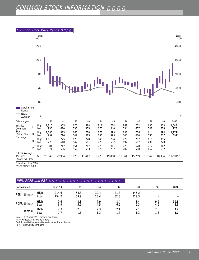## COMMON STOCK INFORMATION



\* April and May 2000

\*\* End of May, 2000

| PER, PCFR and PBR     |             |                |              |              |              |                |            |             |
|-----------------------|-------------|----------------|--------------|--------------|--------------|----------------|------------|-------------|
| Consolidated          |             | Mar. 94        | 95           | 96           | 97           | 98             | 99         | 2000        |
| <b>PER</b><br>(times) | High<br>Low | 214.6<br>154.2 | 64.8<br>39.9 | 32.4<br>18.4 | 41.8<br>32.8 | 345.2<br>219.3 | -          |             |
| PCFR (times)          | High<br>Low | 9.6<br>6.9     | 8.3<br>5.1   | 7.9<br>4.5   | 8.4<br>6.6   | 8.4<br>5.3     | 9.2<br>4.6 | 10.5<br>6.3 |
| <b>PBR</b><br>(times) | High<br>Low | 2.3            | 2.5<br>1.6   | 2.3<br>1.3   | 2.1<br>1.7   | 2.1<br>1.3     | 2.6<br>1.3 | 3.4<br>2.1  |

PER = Price/Net Income per Share. Note: PER=Price/Net Income p<br>PCFR=Price/Cash Flow per Share.

Cash Flow=Net Income + Depreciation and Amortization.

PBR=Price/Equity per Share.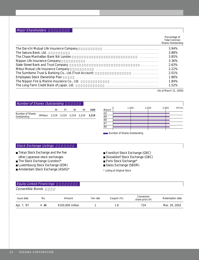## Major Shareholders

|                                                             | Percentage of<br><b>Total Common</b><br>Shares Outstanding |
|-------------------------------------------------------------|------------------------------------------------------------|
| The Dai-ichi Mutual Life Insurance Company                  | 3.94%                                                      |
| The Sakura Bank, Ltd.                                       | 3.88%                                                      |
| The Chase Manhattan Bank NA London<br>.                     | 3.85%                                                      |
| Nippon Life Insurance Company                               | 3.36%                                                      |
| State Street Bank and Trust Company<br>.                    | 2.63%                                                      |
| Mitsui Mutual Life Insurance Company                        | 2.22%                                                      |
| The Sumitomo Trust & Banking Co., Ltd. (Trust Account)<br>. | 2.01%                                                      |
| Employees Stock Ownership Plan                              | 1.86%                                                      |
| The Nippon Fire & Marine Insurance Co., Ltd.                | 1.84%                                                      |
| The Long-Term Credit Bank of Japan, Ltd.                    | 1 52%                                                      |

(As of March 31, 2000)

| <b>Number of Shares Outstanding</b>                                                                                                                                                                                             |           |       |       |       |       |       |                            |                                                                                                                                                      |       |       |       |           |
|---------------------------------------------------------------------------------------------------------------------------------------------------------------------------------------------------------------------------------|-----------|-------|-------|-------|-------|-------|----------------------------|------------------------------------------------------------------------------------------------------------------------------------------------------|-------|-------|-------|-----------|
|                                                                                                                                                                                                                                 |           | 96    | 97    | 98    | 99    | 2000  | March                      | $\Omega$                                                                                                                                             | 1.000 | 2,000 | 3.000 | (Million) |
| Number of Shares<br>Outstanding                                                                                                                                                                                                 | (Million) | 3,219 | 3,219 | 3,219 | 3,219 | 3,219 | 00<br>99<br>98<br>97<br>96 | Number of Shares Outstanding                                                                                                                         |       |       |       |           |
| <b>Stock Exchange Listings</b><br>■ Tokyo Stock Exchange and the five<br>other Japanese stock exchanges<br>$\blacksquare$ The Stock Exchange (London)*<br>■ Luxembourg Stock Exchange (EDR)<br>Amsterdam Stock Exchange (ASAS)* |           |       |       |       |       |       |                            | Frankfurt Stock Exchange (GBC)<br>Düsseldorf Stock Exchange (GBC)<br>■ Paris Stock Exchange*<br>Swiss Exchange (SBDR)<br>* Listing of Original Stock |       |       |       |           |
| <b>Equity-Linked Financings</b><br>Convertible Bonds                                                                                                                                                                            |           |       |       |       |       |       |                            |                                                                                                                                                      |       |       |       |           |

| Issue date  | No.  | Amount           | Yen rate | Coupon (%) | Conversion<br>share price $(4)$ | Redemption date |
|-------------|------|------------------|----------|------------|---------------------------------|-----------------|
| Apr. 7, '87 | ¥ #6 | ¥100,000 million |          |            | 724                             | Mar. 29, 2002   |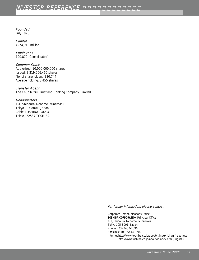## **INVESTOR REFERENCE**

July 1875

Capital ¥274,919 million

Employees 190,870 (Consolidated)

Common Stock Authorized: 10,000,000,000 shares Issued: 3,219,006,450 shares No. of shareholders: 380,744 Average holding: 8,455 shares

Transfer Agent The Chuo Mitsui Trust and Banking Company, Limited

#### **Headquarters**

1-1, Shibaura 1-chome, Minato-ku Tokyo 105-8001, Japan Cable: TOSHIBA TOKYO Telex: J22587 TOSHIBA

For further information, please contact:

Founded<br>
Foundations<br>
Control (1973)<br>
Control (1974)<br>
Control (1975)<br>
Control (1975)<br>
Control (1975)<br>
Control (1975)<br>
Control (1975)<br>
Control (1975)<br>
Control (1975)<br>
Control (1975)<br>
Control (1975)<br>
Control (1975)<br>
Control Corporate Communications Office **TOSHIBA CORPORATION** Principal Office 1-1, Shibaura 1-chome, Minato-ku Tokyo 105-8001, Japan Phone: (03) 3457-2096 Facsimile: (03) 5444-9202 Internet:http://www.toshiba.co.jp/about/ir/index\_j.htm (Japanese) http://www.toshiba.co.jp/about/ir/index.htm (English)